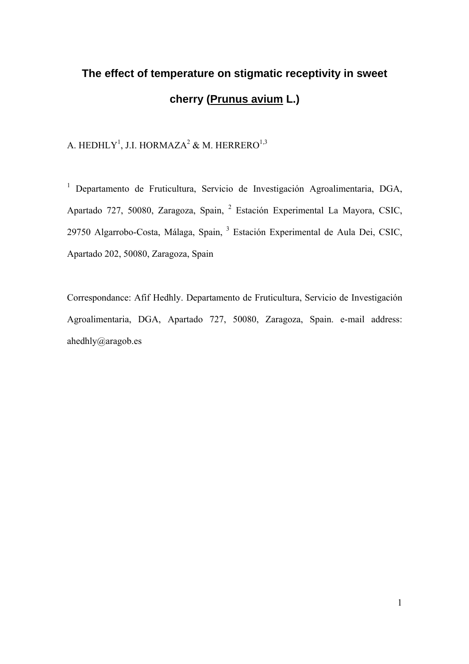# **The effect of temperature on stigmatic receptivity in sweet cherry (Prunus avium L.)**

A. HEDHLY $^{\rm l}$ , J.I. HORMAZA $^{\rm 2}$  & M. HERRERO $^{\rm l,3}$ 

<sup>1</sup> Departamento de Fruticultura, Servicio de Investigación Agroalimentaria, DGA, Apartado 727, 50080, Zaragoza, Spain, <sup>2</sup> Estación Experimental La Mayora, CSIC, 29750 Algarrobo-Costa, Málaga, Spain, <sup>3</sup> Estación Experimental de Aula Dei, CSIC, Apartado 202, 50080, Zaragoza, Spain

Correspondance: Afif Hedhly. Departamento de Fruticultura, Servicio de Investigación Agroalimentaria, DGA, Apartado 727, 50080, Zaragoza, Spain. e-mail address: ahedhly@aragob.es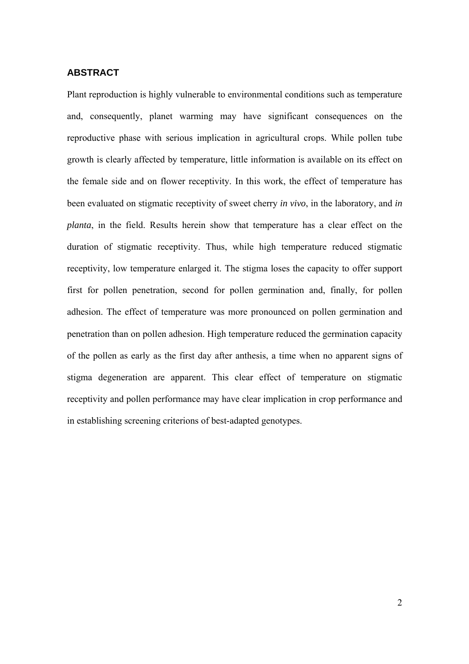#### **ABSTRACT**

Plant reproduction is highly vulnerable to environmental conditions such as temperature and, consequently, planet warming may have significant consequences on the reproductive phase with serious implication in agricultural crops. While pollen tube growth is clearly affected by temperature, little information is available on its effect on the female side and on flower receptivity. In this work, the effect of temperature has been evaluated on stigmatic receptivity of sweet cherry *in vivo*, in the laboratory, and *in planta*, in the field. Results herein show that temperature has a clear effect on the duration of stigmatic receptivity. Thus, while high temperature reduced stigmatic receptivity, low temperature enlarged it. The stigma loses the capacity to offer support first for pollen penetration, second for pollen germination and, finally, for pollen adhesion. The effect of temperature was more pronounced on pollen germination and penetration than on pollen adhesion. High temperature reduced the germination capacity of the pollen as early as the first day after anthesis, a time when no apparent signs of stigma degeneration are apparent. This clear effect of temperature on stigmatic receptivity and pollen performance may have clear implication in crop performance and in establishing screening criterions of best-adapted genotypes.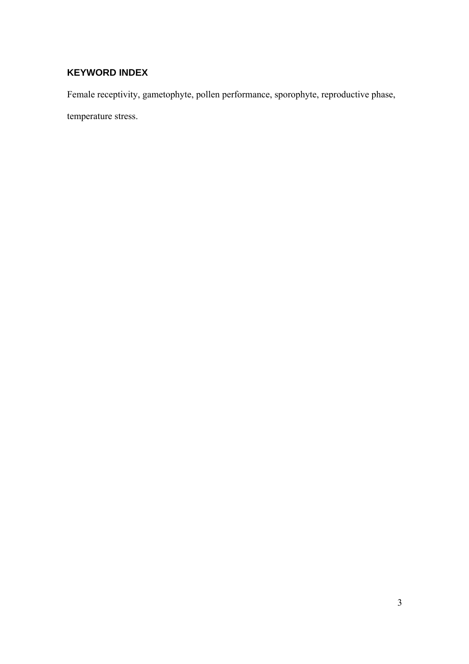## **KEYWORD INDEX**

Female receptivity, gametophyte, pollen performance, sporophyte, reproductive phase,

temperature stress.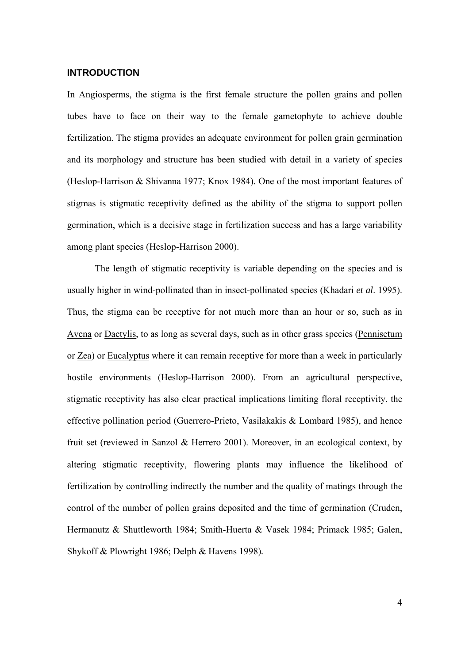#### **INTRODUCTION**

In Angiosperms, the stigma is the first female structure the pollen grains and pollen tubes have to face on their way to the female gametophyte to achieve double fertilization. The stigma provides an adequate environment for pollen grain germination and its morphology and structure has been studied with detail in a variety of species (Heslop-Harrison & Shivanna 1977; Knox 1984). One of the most important features of stigmas is stigmatic receptivity defined as the ability of the stigma to support pollen germination, which is a decisive stage in fertilization success and has a large variability among plant species (Heslop-Harrison 2000).

The length of stigmatic receptivity is variable depending on the species and is usually higher in wind-pollinated than in insect-pollinated species (Khadari *et al*. 1995). Thus, the stigma can be receptive for not much more than an hour or so, such as in Avena or Dactylis, to as long as several days, such as in other grass species (Pennisetum or Zea) or Eucalyptus where it can remain receptive for more than a week in particularly hostile environments (Heslop-Harrison 2000). From an agricultural perspective, stigmatic receptivity has also clear practical implications limiting floral receptivity, the effective pollination period (Guerrero-Prieto, Vasilakakis & Lombard 1985), and hence fruit set (reviewed in Sanzol & Herrero 2001). Moreover, in an ecological context, by altering stigmatic receptivity, flowering plants may influence the likelihood of fertilization by controlling indirectly the number and the quality of matings through the control of the number of pollen grains deposited and the time of germination (Cruden, Hermanutz & Shuttleworth 1984; Smith-Huerta & Vasek 1984; Primack 1985; Galen, Shykoff & Plowright 1986; Delph & Havens 1998)*.*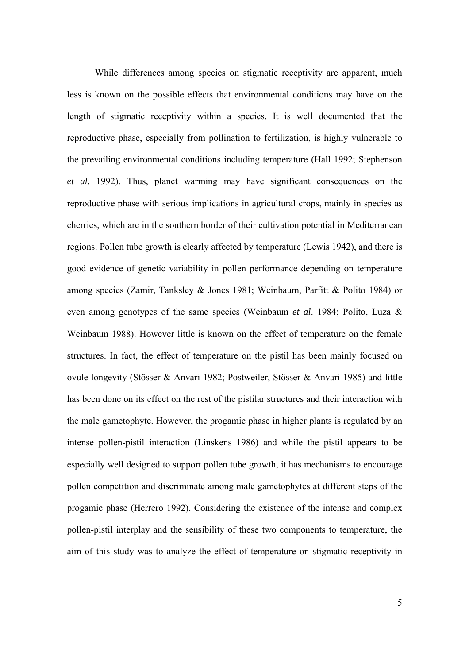While differences among species on stigmatic receptivity are apparent, much less is known on the possible effects that environmental conditions may have on the length of stigmatic receptivity within a species. It is well documented that the reproductive phase, especially from pollination to fertilization, is highly vulnerable to the prevailing environmental conditions including temperature (Hall 1992; Stephenson *et al*. 1992). Thus, planet warming may have significant consequences on the reproductive phase with serious implications in agricultural crops, mainly in species as cherries, which are in the southern border of their cultivation potential in Mediterranean regions. Pollen tube growth is clearly affected by temperature (Lewis 1942), and there is good evidence of genetic variability in pollen performance depending on temperature among species (Zamir, Tanksley & Jones 1981; Weinbaum, Parfitt & Polito 1984) or even among genotypes of the same species (Weinbaum *et al*. 1984; Polito, Luza & Weinbaum 1988). However little is known on the effect of temperature on the female structures. In fact, the effect of temperature on the pistil has been mainly focused on ovule longevity (Stösser & Anvari 1982; Postweiler, Stösser & Anvari 1985) and little has been done on its effect on the rest of the pistilar structures and their interaction with the male gametophyte. However, the progamic phase in higher plants is regulated by an intense pollen-pistil interaction (Linskens 1986) and while the pistil appears to be especially well designed to support pollen tube growth, it has mechanisms to encourage pollen competition and discriminate among male gametophytes at different steps of the progamic phase (Herrero 1992). Considering the existence of the intense and complex pollen-pistil interplay and the sensibility of these two components to temperature, the aim of this study was to analyze the effect of temperature on stigmatic receptivity in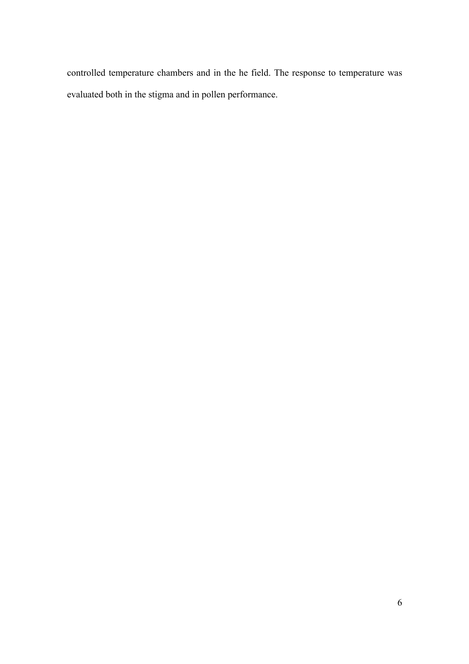controlled temperature chambers and in the he field. The response to temperature was evaluated both in the stigma and in pollen performance.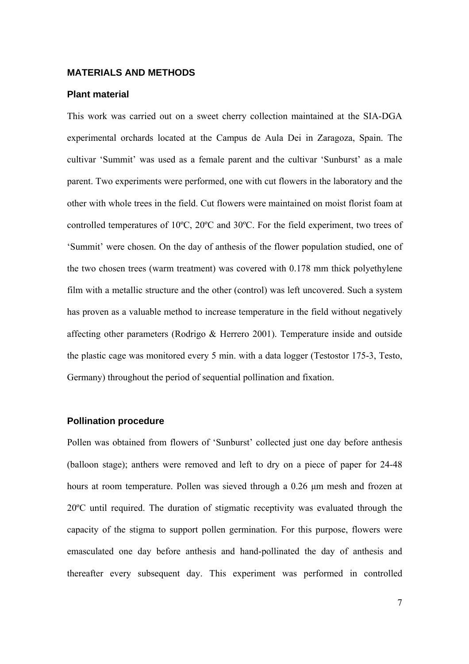#### **MATERIALS AND METHODS**

#### **Plant material**

This work was carried out on a sweet cherry collection maintained at the SIA-DGA experimental orchards located at the Campus de Aula Dei in Zaragoza, Spain. The cultivar 'Summit' was used as a female parent and the cultivar 'Sunburst' as a male parent. Two experiments were performed, one with cut flowers in the laboratory and the other with whole trees in the field. Cut flowers were maintained on moist florist foam at controlled temperatures of 10ºC, 20ºC and 30ºC. For the field experiment, two trees of 'Summit' were chosen. On the day of anthesis of the flower population studied, one of the two chosen trees (warm treatment) was covered with 0.178 mm thick polyethylene film with a metallic structure and the other (control) was left uncovered. Such a system has proven as a valuable method to increase temperature in the field without negatively affecting other parameters (Rodrigo & Herrero 2001). Temperature inside and outside the plastic cage was monitored every 5 min. with a data logger (Testostor 175-3, Testo, Germany) throughout the period of sequential pollination and fixation.

#### **Pollination procedure**

Pollen was obtained from flowers of 'Sunburst' collected just one day before anthesis (balloon stage); anthers were removed and left to dry on a piece of paper for 24-48 hours at room temperature. Pollen was sieved through a 0.26 μm mesh and frozen at 20ºC until required. The duration of stigmatic receptivity was evaluated through the capacity of the stigma to support pollen germination. For this purpose, flowers were emasculated one day before anthesis and hand-pollinated the day of anthesis and thereafter every subsequent day. This experiment was performed in controlled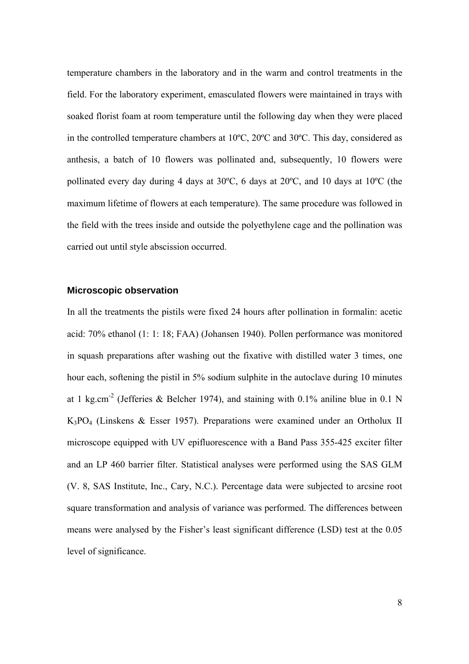temperature chambers in the laboratory and in the warm and control treatments in the field. For the laboratory experiment, emasculated flowers were maintained in trays with soaked florist foam at room temperature until the following day when they were placed in the controlled temperature chambers at 10ºC, 20ºC and 30ºC. This day, considered as anthesis, a batch of 10 flowers was pollinated and, subsequently, 10 flowers were pollinated every day during 4 days at 30ºC, 6 days at 20ºC, and 10 days at 10ºC (the maximum lifetime of flowers at each temperature). The same procedure was followed in the field with the trees inside and outside the polyethylene cage and the pollination was carried out until style abscission occurred.

#### **Microscopic observation**

In all the treatments the pistils were fixed 24 hours after pollination in formalin: acetic acid: 70% ethanol (1: 1: 18; FAA) (Johansen 1940). Pollen performance was monitored in squash preparations after washing out the fixative with distilled water 3 times, one hour each, softening the pistil in 5% sodium sulphite in the autoclave during 10 minutes at 1 kg.cm<sup>-2</sup> (Jefferies & Belcher 1974), and staining with 0.1% aniline blue in 0.1 N K3PO4 (Linskens & Esser 1957). Preparations were examined under an Ortholux II microscope equipped with UV epifluorescence with a Band Pass 355-425 exciter filter and an LP 460 barrier filter. Statistical analyses were performed using the SAS GLM (V. 8, SAS Institute, Inc., Cary, N.C.). Percentage data were subjected to arcsine root square transformation and analysis of variance was performed. The differences between means were analysed by the Fisher's least significant difference (LSD) test at the 0.05 level of significance.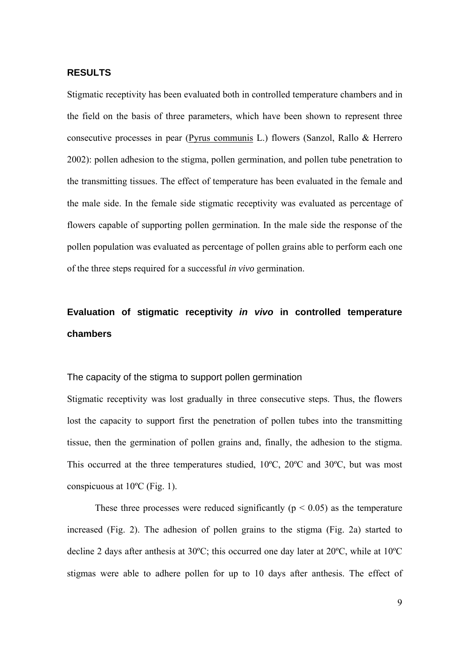#### **RESULTS**

Stigmatic receptivity has been evaluated both in controlled temperature chambers and in the field on the basis of three parameters, which have been shown to represent three consecutive processes in pear (Pyrus communis L.) flowers (Sanzol, Rallo & Herrero 2002): pollen adhesion to the stigma, pollen germination, and pollen tube penetration to the transmitting tissues. The effect of temperature has been evaluated in the female and the male side. In the female side stigmatic receptivity was evaluated as percentage of flowers capable of supporting pollen germination. In the male side the response of the pollen population was evaluated as percentage of pollen grains able to perform each one of the three steps required for a successful *in vivo* germination.

## **Evaluation of stigmatic receptivity** *in vivo* **in controlled temperature chambers**

The capacity of the stigma to support pollen germination

Stigmatic receptivity was lost gradually in three consecutive steps. Thus, the flowers lost the capacity to support first the penetration of pollen tubes into the transmitting tissue, then the germination of pollen grains and, finally, the adhesion to the stigma. This occurred at the three temperatures studied, 10ºC, 20ºC and 30ºC, but was most conspicuous at 10ºC (Fig. 1).

These three processes were reduced significantly ( $p < 0.05$ ) as the temperature increased (Fig. 2). The adhesion of pollen grains to the stigma (Fig. 2a) started to decline 2 days after anthesis at 30ºC; this occurred one day later at 20ºC, while at 10ºC stigmas were able to adhere pollen for up to 10 days after anthesis. The effect of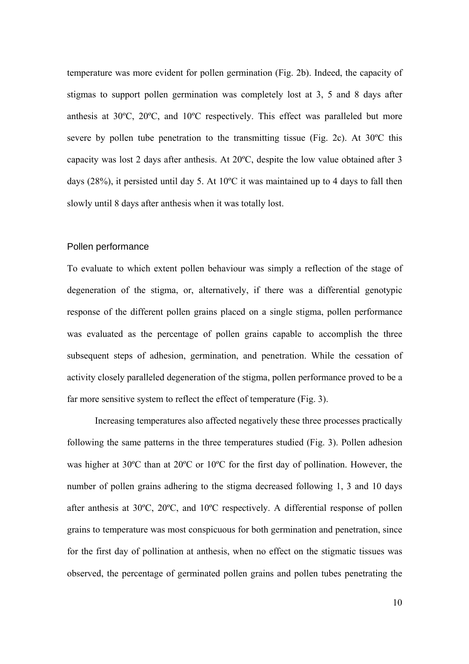temperature was more evident for pollen germination (Fig. 2b). Indeed, the capacity of stigmas to support pollen germination was completely lost at 3, 5 and 8 days after anthesis at 30ºC, 20ºC, and 10ºC respectively. This effect was paralleled but more severe by pollen tube penetration to the transmitting tissue (Fig. 2c). At 30ºC this capacity was lost 2 days after anthesis. At 20ºC, despite the low value obtained after 3 days (28%), it persisted until day 5. At 10ºC it was maintained up to 4 days to fall then slowly until 8 days after anthesis when it was totally lost.

#### Pollen performance

To evaluate to which extent pollen behaviour was simply a reflection of the stage of degeneration of the stigma, or, alternatively, if there was a differential genotypic response of the different pollen grains placed on a single stigma, pollen performance was evaluated as the percentage of pollen grains capable to accomplish the three subsequent steps of adhesion, germination, and penetration. While the cessation of activity closely paralleled degeneration of the stigma, pollen performance proved to be a far more sensitive system to reflect the effect of temperature (Fig. 3).

Increasing temperatures also affected negatively these three processes practically following the same patterns in the three temperatures studied (Fig. 3). Pollen adhesion was higher at 30ºC than at 20ºC or 10ºC for the first day of pollination. However, the number of pollen grains adhering to the stigma decreased following 1, 3 and 10 days after anthesis at 30ºC, 20ºC, and 10ºC respectively. A differential response of pollen grains to temperature was most conspicuous for both germination and penetration, since for the first day of pollination at anthesis, when no effect on the stigmatic tissues was observed, the percentage of germinated pollen grains and pollen tubes penetrating the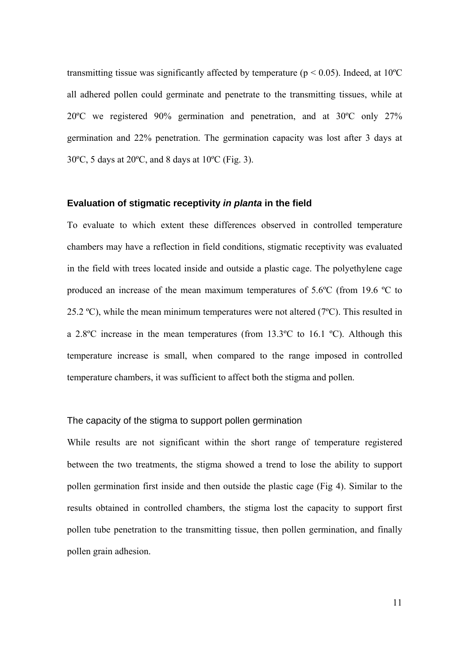transmitting tissue was significantly affected by temperature ( $p < 0.05$ ). Indeed, at 10<sup>o</sup>C all adhered pollen could germinate and penetrate to the transmitting tissues, while at 20ºC we registered 90% germination and penetration, and at 30ºC only 27% germination and 22% penetration. The germination capacity was lost after 3 days at 30ºC, 5 days at 20ºC, and 8 days at 10ºC (Fig. 3).

#### **Evaluation of stigmatic receptivity** *in planta* **in the field**

To evaluate to which extent these differences observed in controlled temperature chambers may have a reflection in field conditions, stigmatic receptivity was evaluated in the field with trees located inside and outside a plastic cage. The polyethylene cage produced an increase of the mean maximum temperatures of 5.6ºC (from 19.6 ºC to 25.2 °C), while the mean minimum temperatures were not altered ( $7^{\circ}$ C). This resulted in a 2.8ºC increase in the mean temperatures (from 13.3ºC to 16.1 ºC). Although this temperature increase is small, when compared to the range imposed in controlled temperature chambers, it was sufficient to affect both the stigma and pollen.

#### The capacity of the stigma to support pollen germination

While results are not significant within the short range of temperature registered between the two treatments, the stigma showed a trend to lose the ability to support pollen germination first inside and then outside the plastic cage (Fig 4). Similar to the results obtained in controlled chambers, the stigma lost the capacity to support first pollen tube penetration to the transmitting tissue, then pollen germination, and finally pollen grain adhesion.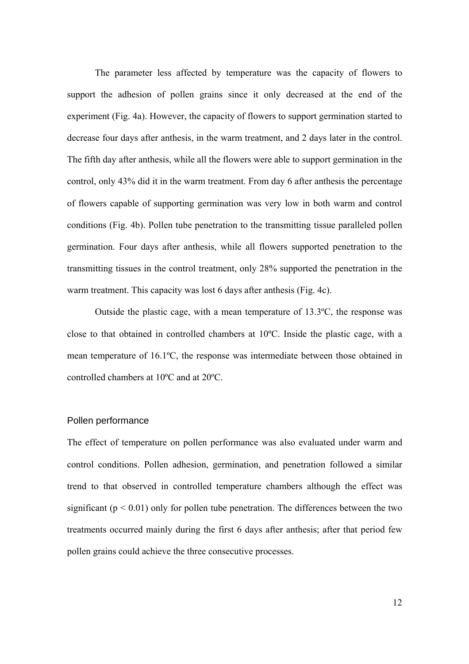The parameter less affected by temperature was the capacity of flowers to support the adhesion of pollen grains since it only decreased at the end of the experiment (Fig. 4a). However, the capacity of flowers to support germination started to decrease four days after anthesis, in the warm treatment, and 2 days later in the control. The fifth day after anthesis, while all the flowers were able to support germination in the control, only 43% did it in the warm treatment. From day 6 after anthesis the percentage of flowers capable of supporting germination was very low in both warm and control conditions (Fig. 4b). Pollen tube penetration to the transmitting tissue paralleled pollen germination. Four days after anthesis, while all flowers supported penetration to the transmitting tissues in the control treatment, only 28% supported the penetration in the warm treatment. This capacity was lost 6 days after anthesis (Fig. 4c).

Outside the plastic cage, with a mean temperature of 13.3ºC, the response was close to that obtained in controlled chambers at 10ºC. Inside the plastic cage, with a mean temperature of 16.1ºC, the response was intermediate between those obtained in controlled chambers at 10ºC and at 20ºC.

#### Pollen performance

The effect of temperature on pollen performance was also evaluated under warm and control conditions. Pollen adhesion, germination, and penetration followed a similar trend to that observed in controlled temperature chambers although the effect was significant ( $p < 0.01$ ) only for pollen tube penetration. The differences between the two treatments occurred mainly during the first 6 days after anthesis; after that period few pollen grains could achieve the three consecutive processes.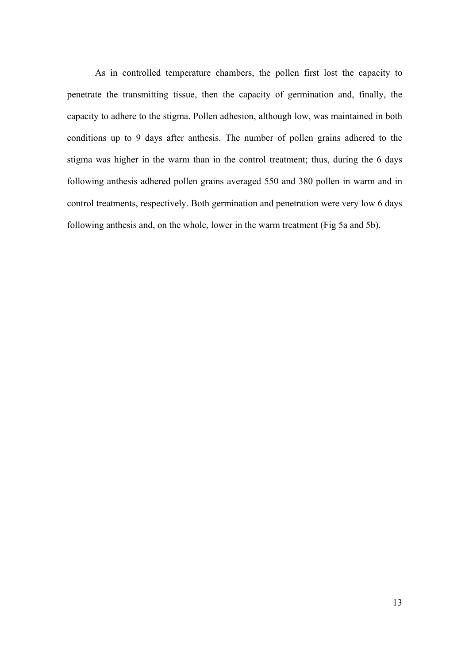As in controlled temperature chambers, the pollen first lost the capacity to penetrate the transmitting tissue, then the capacity of germination and, finally, the capacity to adhere to the stigma. Pollen adhesion, although low, was maintained in both conditions up to 9 days after anthesis. The number of pollen grains adhered to the stigma was higher in the warm than in the control treatment; thus, during the 6 days following anthesis adhered pollen grains averaged 550 and 380 pollen in warm and in control treatments, respectively. Both germination and penetration were very low 6 days following anthesis and, on the whole, lower in the warm treatment (Fig 5a and 5b).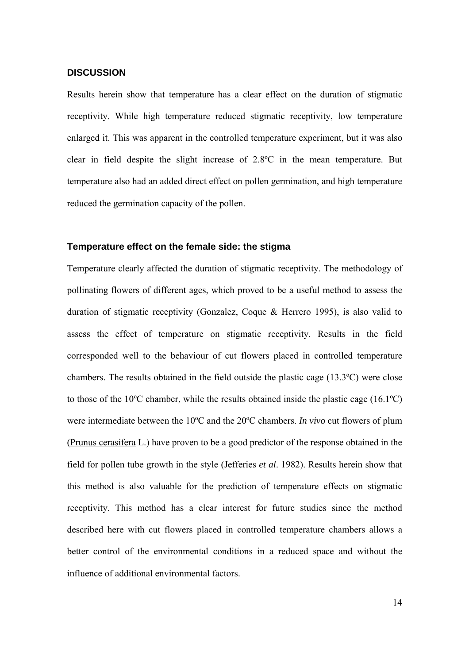#### **DISCUSSION**

Results herein show that temperature has a clear effect on the duration of stigmatic receptivity. While high temperature reduced stigmatic receptivity, low temperature enlarged it. This was apparent in the controlled temperature experiment, but it was also clear in field despite the slight increase of 2.8ºC in the mean temperature. But temperature also had an added direct effect on pollen germination, and high temperature reduced the germination capacity of the pollen.

#### **Temperature effect on the female side: the stigma**

Temperature clearly affected the duration of stigmatic receptivity. The methodology of pollinating flowers of different ages, which proved to be a useful method to assess the duration of stigmatic receptivity (Gonzalez, Coque & Herrero 1995), is also valid to assess the effect of temperature on stigmatic receptivity. Results in the field corresponded well to the behaviour of cut flowers placed in controlled temperature chambers. The results obtained in the field outside the plastic cage (13.3ºC) were close to those of the 10ºC chamber, while the results obtained inside the plastic cage (16.1ºC) were intermediate between the 10ºC and the 20ºC chambers. *In vivo* cut flowers of plum (Prunus cerasifera L.) have proven to be a good predictor of the response obtained in the field for pollen tube growth in the style (Jefferies *et al*. 1982). Results herein show that this method is also valuable for the prediction of temperature effects on stigmatic receptivity. This method has a clear interest for future studies since the method described here with cut flowers placed in controlled temperature chambers allows a better control of the environmental conditions in a reduced space and without the influence of additional environmental factors.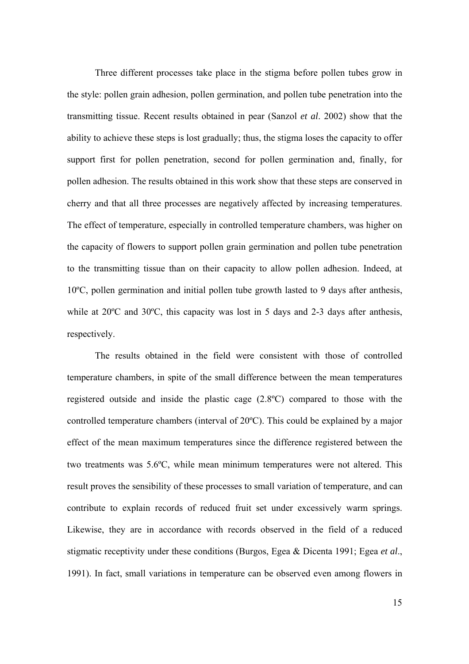Three different processes take place in the stigma before pollen tubes grow in the style: pollen grain adhesion, pollen germination, and pollen tube penetration into the transmitting tissue. Recent results obtained in pear (Sanzol *et al*. 2002) show that the ability to achieve these steps is lost gradually; thus, the stigma loses the capacity to offer support first for pollen penetration, second for pollen germination and, finally, for pollen adhesion. The results obtained in this work show that these steps are conserved in cherry and that all three processes are negatively affected by increasing temperatures. The effect of temperature, especially in controlled temperature chambers, was higher on the capacity of flowers to support pollen grain germination and pollen tube penetration to the transmitting tissue than on their capacity to allow pollen adhesion. Indeed, at 10ºC, pollen germination and initial pollen tube growth lasted to 9 days after anthesis, while at 20<sup>o</sup>C and 30<sup>o</sup>C, this capacity was lost in 5 days and 2-3 days after anthesis, respectively.

The results obtained in the field were consistent with those of controlled temperature chambers, in spite of the small difference between the mean temperatures registered outside and inside the plastic cage (2.8ºC) compared to those with the controlled temperature chambers (interval of 20ºC). This could be explained by a major effect of the mean maximum temperatures since the difference registered between the two treatments was 5.6ºC, while mean minimum temperatures were not altered. This result proves the sensibility of these processes to small variation of temperature, and can contribute to explain records of reduced fruit set under excessively warm springs. Likewise, they are in accordance with records observed in the field of a reduced stigmatic receptivity under these conditions (Burgos, Egea & Dicenta 1991; Egea *et al*., 1991). In fact, small variations in temperature can be observed even among flowers in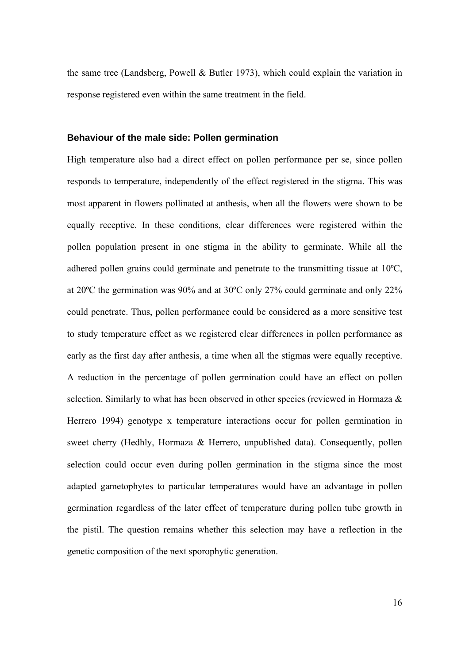the same tree (Landsberg, Powell & Butler 1973), which could explain the variation in response registered even within the same treatment in the field.

#### **Behaviour of the male side: Pollen germination**

High temperature also had a direct effect on pollen performance per se, since pollen responds to temperature, independently of the effect registered in the stigma. This was most apparent in flowers pollinated at anthesis, when all the flowers were shown to be equally receptive. In these conditions, clear differences were registered within the pollen population present in one stigma in the ability to germinate. While all the adhered pollen grains could germinate and penetrate to the transmitting tissue at 10ºC, at 20ºC the germination was 90% and at 30ºC only 27% could germinate and only 22% could penetrate. Thus, pollen performance could be considered as a more sensitive test to study temperature effect as we registered clear differences in pollen performance as early as the first day after anthesis, a time when all the stigmas were equally receptive. A reduction in the percentage of pollen germination could have an effect on pollen selection. Similarly to what has been observed in other species (reviewed in Hormaza & Herrero 1994) genotype x temperature interactions occur for pollen germination in sweet cherry (Hedhly, Hormaza & Herrero, unpublished data). Consequently, pollen selection could occur even during pollen germination in the stigma since the most adapted gametophytes to particular temperatures would have an advantage in pollen germination regardless of the later effect of temperature during pollen tube growth in the pistil. The question remains whether this selection may have a reflection in the genetic composition of the next sporophytic generation.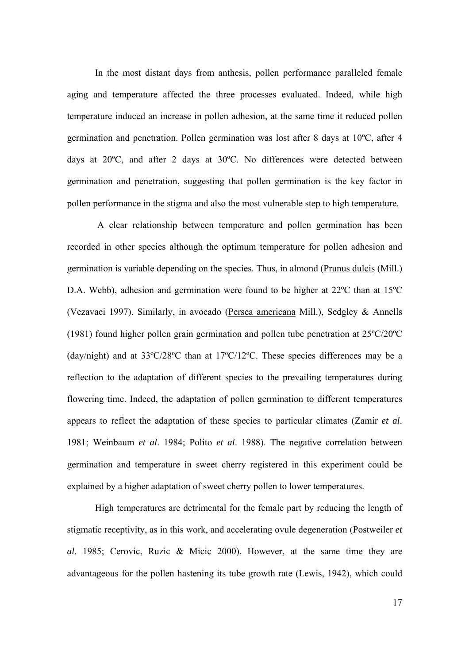In the most distant days from anthesis, pollen performance paralleled female aging and temperature affected the three processes evaluated. Indeed, while high temperature induced an increase in pollen adhesion, at the same time it reduced pollen germination and penetration. Pollen germination was lost after 8 days at 10ºC, after 4 days at 20ºC, and after 2 days at 30ºC. No differences were detected between germination and penetration, suggesting that pollen germination is the key factor in pollen performance in the stigma and also the most vulnerable step to high temperature.

 A clear relationship between temperature and pollen germination has been recorded in other species although the optimum temperature for pollen adhesion and germination is variable depending on the species. Thus, in almond (Prunus dulcis (Mill.) D.A. Webb), adhesion and germination were found to be higher at 22ºC than at 15ºC (Vezavaei 1997). Similarly, in avocado (Persea americana Mill.), Sedgley & Annells (1981) found higher pollen grain germination and pollen tube penetration at 25ºC/20ºC (day/night) and at 33ºC/28ºC than at 17ºC/12ºC. These species differences may be a reflection to the adaptation of different species to the prevailing temperatures during flowering time. Indeed, the adaptation of pollen germination to different temperatures appears to reflect the adaptation of these species to particular climates (Zamir *et al*. 1981; Weinbaum *et al*. 1984; Polito *et al*. 1988). The negative correlation between germination and temperature in sweet cherry registered in this experiment could be explained by a higher adaptation of sweet cherry pollen to lower temperatures.

High temperatures are detrimental for the female part by reducing the length of stigmatic receptivity, as in this work, and accelerating ovule degeneration (Postweiler *et al*. 1985; Cerovic, Ruzic & Micic 2000). However, at the same time they are advantageous for the pollen hastening its tube growth rate (Lewis, 1942), which could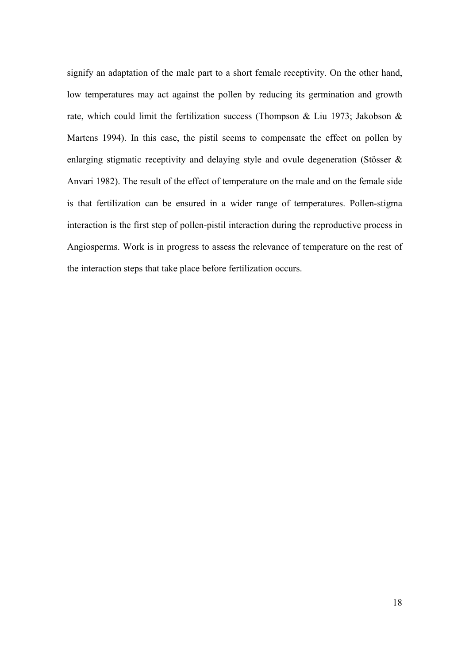signify an adaptation of the male part to a short female receptivity. On the other hand, low temperatures may act against the pollen by reducing its germination and growth rate, which could limit the fertilization success (Thompson & Liu 1973; Jakobson & Martens 1994). In this case, the pistil seems to compensate the effect on pollen by enlarging stigmatic receptivity and delaying style and ovule degeneration (Stösser & Anvari 1982). The result of the effect of temperature on the male and on the female side is that fertilization can be ensured in a wider range of temperatures. Pollen-stigma interaction is the first step of pollen-pistil interaction during the reproductive process in Angiosperms. Work is in progress to assess the relevance of temperature on the rest of the interaction steps that take place before fertilization occurs.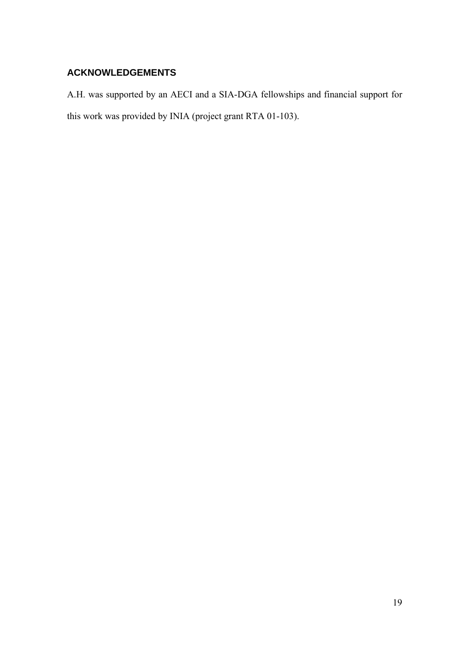### **ACKNOWLEDGEMENTS**

A.H. was supported by an AECI and a SIA-DGA fellowships and financial support for this work was provided by INIA (project grant RTA 01-103).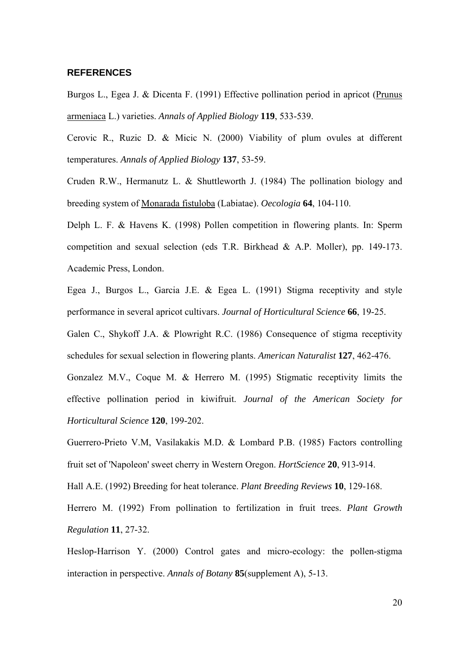#### **REFERENCES**

Burgos L., Egea J. & Dicenta F. (1991) Effective pollination period in apricot (Prunus armeniaca L.) varieties. *Annals of Applied Biology* **119**, 533-539.

Cerovic R., Ruzic D. & Micic N. (2000) Viability of plum ovules at different temperatures. *Annals of Applied Biology* **137**, 53-59.

Cruden R.W., Hermanutz L. & Shuttleworth J. (1984) The pollination biology and breeding system of Monarada fistuloba (Labiatae). *Oecologia* **64**, 104-110.

Delph L. F. & Havens K. (1998) Pollen competition in flowering plants. In: Sperm competition and sexual selection (eds T.R. Birkhead & A.P. Moller), pp. 149-173. Academic Press, London.

Egea J., Burgos L., Garcia J.E. & Egea L. (1991) Stigma receptivity and style performance in several apricot cultivars. *Journal of Horticultural Science* **66**, 19-25.

Galen C., Shykoff J.A. & Plowright R.C. (1986) Consequence of stigma receptivity schedules for sexual selection in flowering plants. *American Naturalist* **127**, 462-476.

Gonzalez M.V., Coque M. & Herrero M. (1995) Stigmatic receptivity limits the effective pollination period in kiwifruit. *Journal of the American Society for Horticultural Science* **120**, 199-202.

Guerrero-Prieto V.M, Vasilakakis M.D. & Lombard P.B. (1985) Factors controlling fruit set of 'Napoleon' sweet cherry in Western Oregon. *HortScience* **20**, 913-914.

Hall A.E. (1992) Breeding for heat tolerance. *Plant Breeding Reviews* **10**, 129-168.

Herrero M. (1992) From pollination to fertilization in fruit trees. *Plant Growth Regulation* **11**, 27-32.

Heslop-Harrison Y. (2000) Control gates and micro-ecology: the pollen-stigma interaction in perspective. *Annals of Botany* **85**(supplement A), 5-13.

20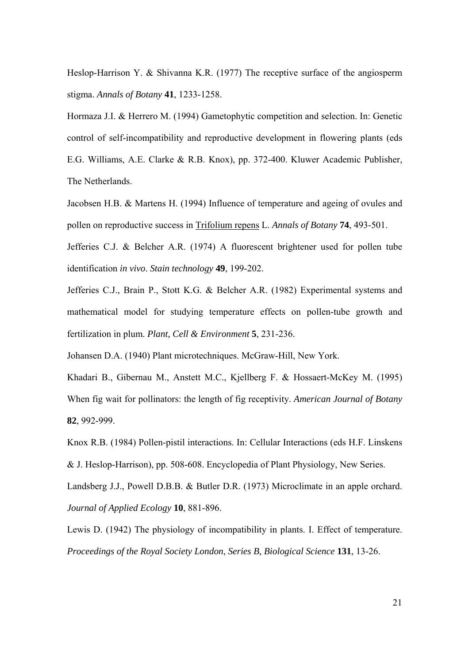Heslop-Harrison Y. & Shivanna K.R. (1977) The receptive surface of the angiosperm stigma. *Annals of Botany* **41**, 1233-1258.

Hormaza J.I. & Herrero M. (1994) Gametophytic competition and selection. In: Genetic control of self-incompatibility and reproductive development in flowering plants (eds E.G. Williams, A.E. Clarke & R.B. Knox), pp. 372-400. Kluwer Academic Publisher, The Netherlands.

Jacobsen H.B. & Martens H. (1994) Influence of temperature and ageing of ovules and pollen on reproductive success in Trifolium repens L. *Annals of Botany* **74**, 493-501.

Jefferies C.J. & Belcher A.R. (1974) A fluorescent brightener used for pollen tube identification *in vivo*. *Stain technology* **49**, 199-202.

Jefferies C.J., Brain P., Stott K.G. & Belcher A.R. (1982) Experimental systems and mathematical model for studying temperature effects on pollen-tube growth and fertilization in plum. *Plant, Cell & Environment* **5**, 231-236.

Johansen D.A. (1940) Plant microtechniques. McGraw-Hill, New York.

Khadari B., Gibernau M., Anstett M.C., Kjellberg F. & Hossaert-McKey M. (1995) When fig wait for pollinators: the length of fig receptivity. *American Journal of Botany* **82**, 992-999.

Knox R.B. (1984) Pollen-pistil interactions. In: Cellular Interactions (eds H.F. Linskens & J. Heslop-Harrison), pp. 508-608. Encyclopedia of Plant Physiology, New Series.

Landsberg J.J., Powell D.B.B. & Butler D.R. (1973) Microclimate in an apple orchard. *Journal of Applied Ecology* **10**, 881-896.

Lewis D. (1942) The physiology of incompatibility in plants. I. Effect of temperature. *Proceedings of the Royal Society London*, *Series B, Biological Science* **131**, 13-26.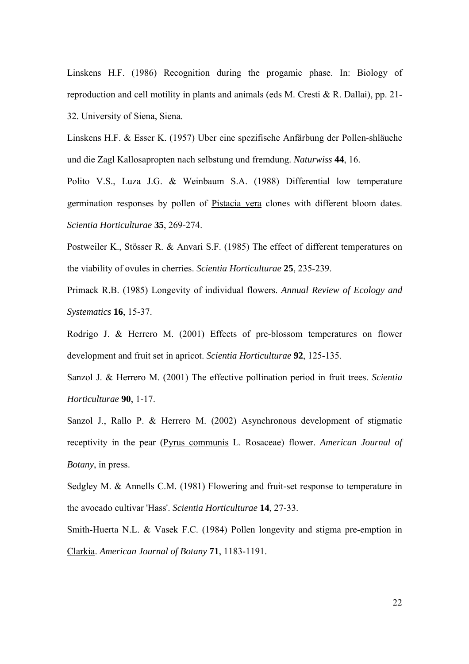Linskens H.F. (1986) Recognition during the progamic phase. In: Biology of reproduction and cell motility in plants and animals (eds M. Cresti & R. Dallai), pp. 21- 32. University of Siena, Siena.

Linskens H.F. & Esser K. (1957) Uber eine spezifische Anfärbung der Pollen-shläuche und die Zagl Kallosapropten nach selbstung und fremdung. *Naturwiss* **44**, 16.

Polito V.S., Luza J.G. & Weinbaum S.A. (1988) Differential low temperature germination responses by pollen of Pistacia vera clones with different bloom dates. *Scientia Horticulturae* **35**, 269-274.

Postweiler K., Stösser R. & Anvari S.F. (1985) The effect of different temperatures on the viability of ovules in cherries. *Scientia Horticulturae* **25**, 235-239.

Primack R.B. (1985) Longevity of individual flowers. *Annual Review of Ecology and Systematics* **16**, 15-37.

Rodrigo J. & Herrero M. (2001) Effects of pre-blossom temperatures on flower development and fruit set in apricot. *Scientia Horticulturae* **92**, 125-135.

Sanzol J. & Herrero M. (2001) The effective pollination period in fruit trees. *Scientia Horticulturae* **90**, 1-17.

Sanzol J., Rallo P. & Herrero M. (2002) Asynchronous development of stigmatic receptivity in the pear (Pyrus communis L. Rosaceae) flower. *American Journal of Botany*, in press.

Sedgley M. & Annells C.M. (1981) Flowering and fruit-set response to temperature in the avocado cultivar 'Hass'. *Scientia Horticulturae* **14**, 27-33.

Smith-Huerta N.L. & Vasek F.C. (1984) Pollen longevity and stigma pre-emption in Clarkia. *American Journal of Botany* **71**, 1183-1191.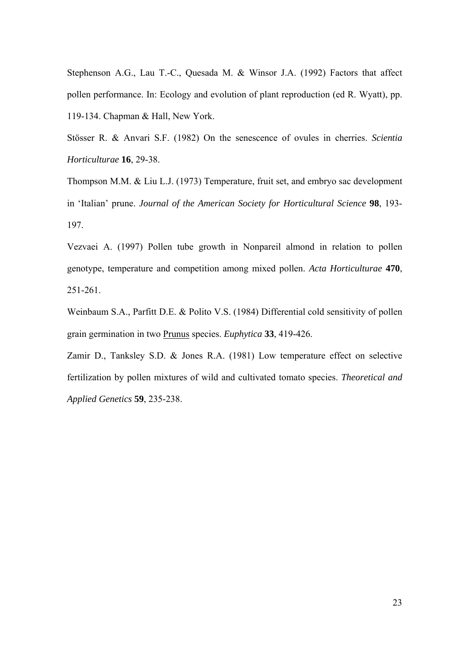Stephenson A.G., Lau T.-C., Quesada M. & Winsor J.A. (1992) Factors that affect pollen performance. In: Ecology and evolution of plant reproduction (ed R. Wyatt), pp. 119-134. Chapman & Hall, New York.

Stösser R. & Anvari S.F. (1982) On the senescence of ovules in cherries. *Scientia Horticulturae* **16**, 29-38.

Thompson M.M. & Liu L.J. (1973) Temperature, fruit set, and embryo sac development in 'Italian' prune. *Journal of the American Society for Horticultural Science* **98**, 193- 197.

Vezvaei A. (1997) Pollen tube growth in Nonpareil almond in relation to pollen genotype, temperature and competition among mixed pollen. *Acta Horticulturae* **470**, 251-261.

Weinbaum S.A., Parfitt D.E. & Polito V.S. (1984) Differential cold sensitivity of pollen grain germination in two Prunus species. *Euphytica* **33**, 419-426.

Zamir D., Tanksley S.D. & Jones R.A. (1981) Low temperature effect on selective fertilization by pollen mixtures of wild and cultivated tomato species. *Theoretical and Applied Genetics* **59**, 235-238.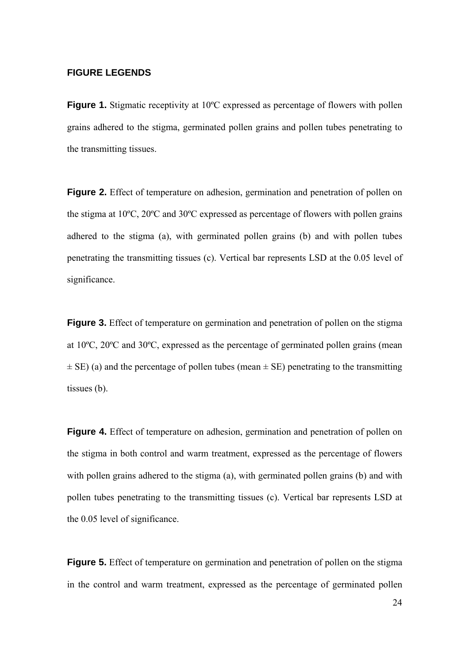#### **FIGURE LEGENDS**

**Figure 1.** Stigmatic receptivity at 10<sup>o</sup>C expressed as percentage of flowers with pollen grains adhered to the stigma, germinated pollen grains and pollen tubes penetrating to the transmitting tissues.

**Figure 2.** Effect of temperature on adhesion, germination and penetration of pollen on the stigma at 10ºC, 20ºC and 30ºC expressed as percentage of flowers with pollen grains adhered to the stigma (a), with germinated pollen grains (b) and with pollen tubes penetrating the transmitting tissues (c). Vertical bar represents LSD at the 0.05 level of significance.

**Figure 3.** Effect of temperature on germination and penetration of pollen on the stigma at 10ºC, 20ºC and 30ºC, expressed as the percentage of germinated pollen grains (mean  $\pm$  SE) (a) and the percentage of pollen tubes (mean  $\pm$  SE) penetrating to the transmitting tissues (b).

**Figure 4.** Effect of temperature on adhesion, germination and penetration of pollen on the stigma in both control and warm treatment, expressed as the percentage of flowers with pollen grains adhered to the stigma (a), with germinated pollen grains (b) and with pollen tubes penetrating to the transmitting tissues (c). Vertical bar represents LSD at the 0.05 level of significance.

**Figure 5.** Effect of temperature on germination and penetration of pollen on the stigma in the control and warm treatment, expressed as the percentage of germinated pollen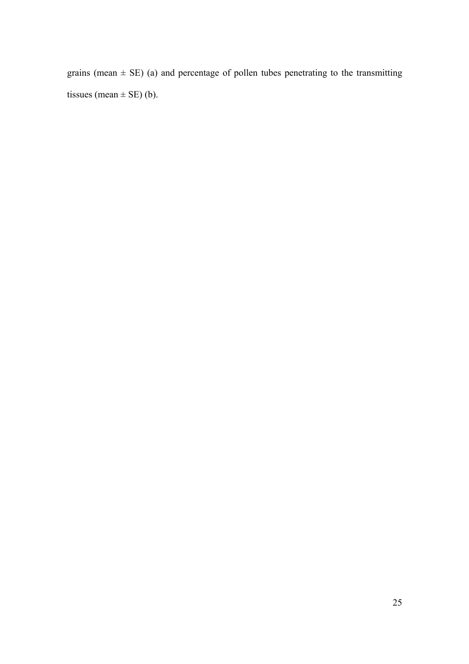grains (mean  $\pm$  SE) (a) and percentage of pollen tubes penetrating to the transmitting tissues (mean  $\pm$  SE) (b).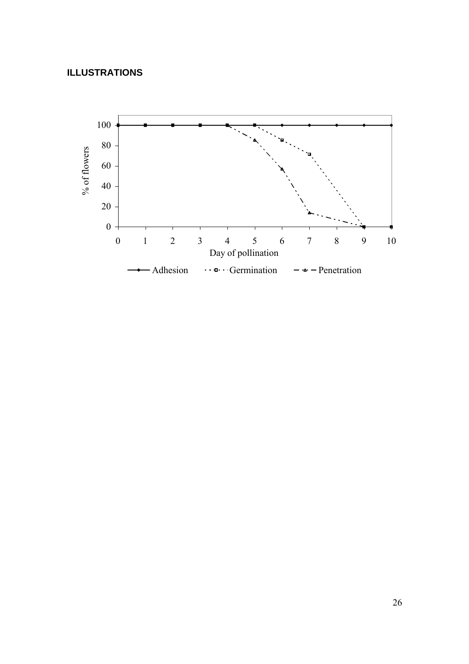### **ILLUSTRATIONS**

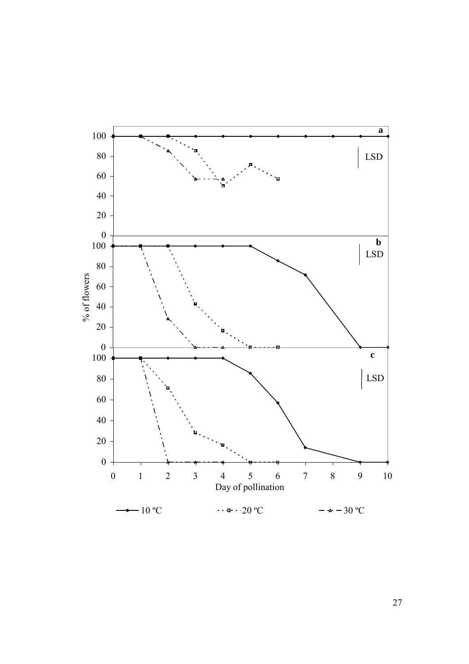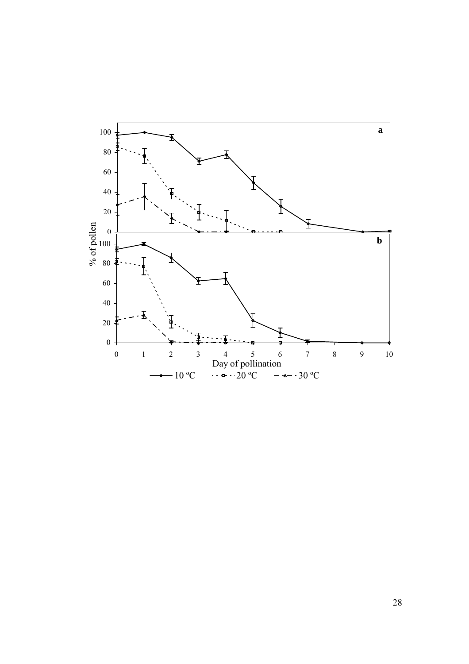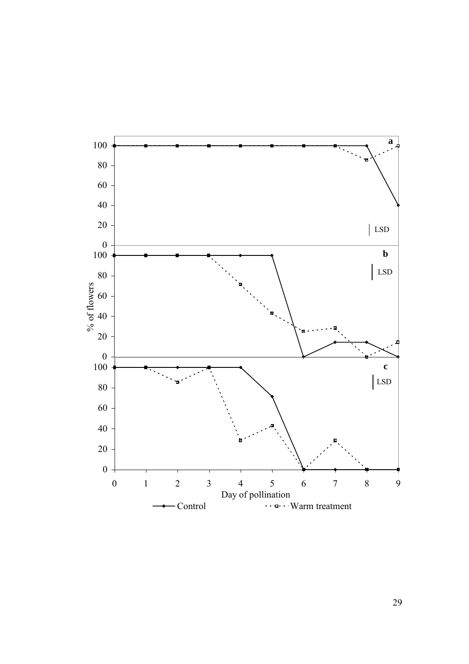